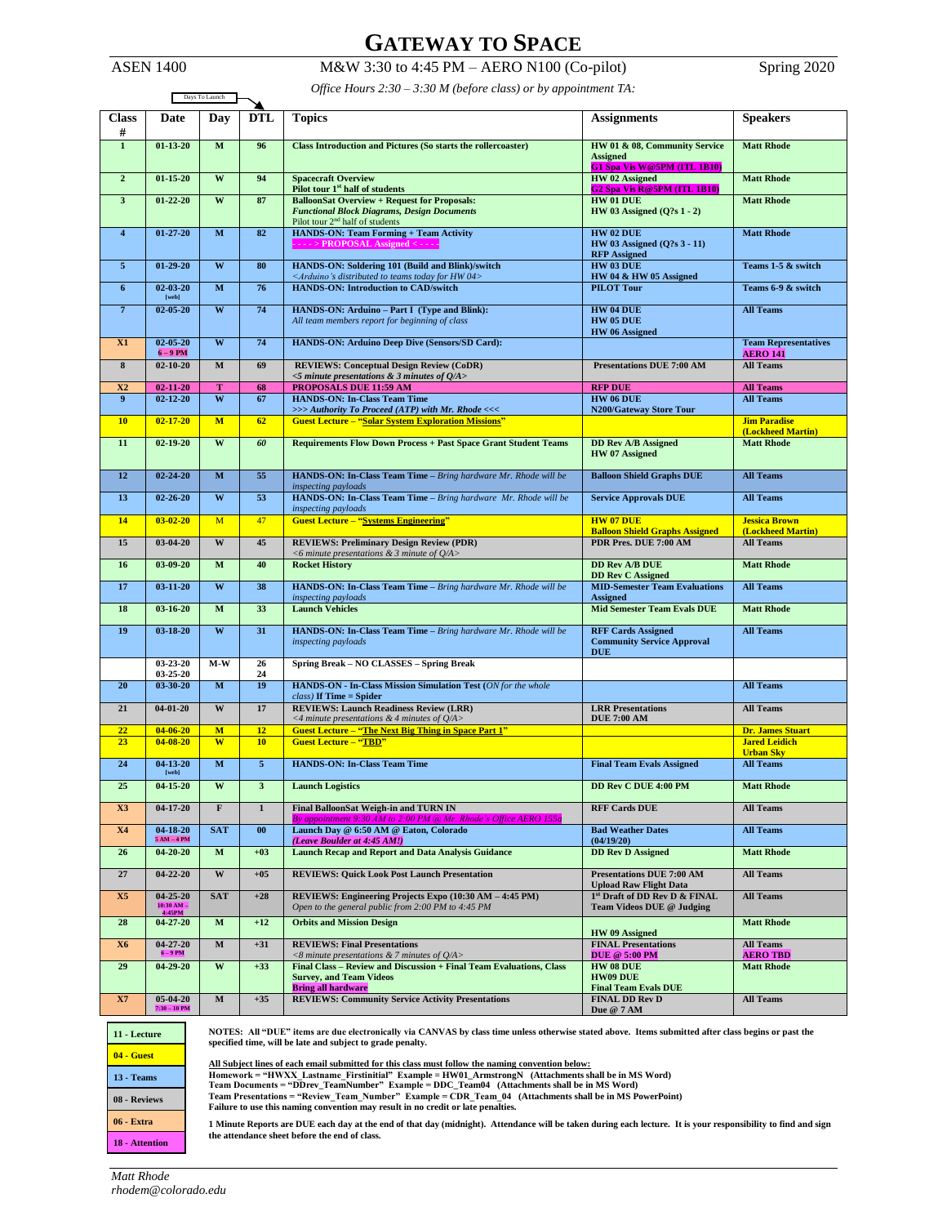# **GATEWAY TO SPACE**

ASEN 1400 M&W 3:30 to 4:45 PM – AERO N100 (Co-pilot) Spring 2020

| Office Hours $2:30 - 3:30$ M (before class) or by appointment TA: |  |  |
|-------------------------------------------------------------------|--|--|

|                | Office Hours 2:30 – 3:30 M (before class) or by appointment $IA$ :<br>Days To Launch                                                                                                                                                                                                                                                                                                                                                                                                                                                                                                                                                      |                         |                |                                                                                                                                       |                                                                                 |                                                |
|----------------|-------------------------------------------------------------------------------------------------------------------------------------------------------------------------------------------------------------------------------------------------------------------------------------------------------------------------------------------------------------------------------------------------------------------------------------------------------------------------------------------------------------------------------------------------------------------------------------------------------------------------------------------|-------------------------|----------------|---------------------------------------------------------------------------------------------------------------------------------------|---------------------------------------------------------------------------------|------------------------------------------------|
| <b>Class</b>   | Date                                                                                                                                                                                                                                                                                                                                                                                                                                                                                                                                                                                                                                      | Day                     | <b>DTL</b>     | <b>Topics</b>                                                                                                                         | <b>Assignments</b>                                                              | <b>Speakers</b>                                |
| #              |                                                                                                                                                                                                                                                                                                                                                                                                                                                                                                                                                                                                                                           |                         |                |                                                                                                                                       |                                                                                 |                                                |
| $\mathbf{1}$   | $01 - 13 - 20$                                                                                                                                                                                                                                                                                                                                                                                                                                                                                                                                                                                                                            | M                       | 96             | <b>Class Introduction and Pictures (So starts the rollercoaster)</b>                                                                  | HW 01 & 08, Community Service<br><b>Assigned</b><br>G1 Spa Vis W@5PM (ITL 1B10) | <b>Matt Rhode</b>                              |
| $\mathbf{2}$   | $01 - 15 - 20$                                                                                                                                                                                                                                                                                                                                                                                                                                                                                                                                                                                                                            | W                       | 94             | <b>Spacecraft Overview</b><br><b>HW</b> 02 Assigned                                                                                   |                                                                                 | <b>Matt Rhode</b>                              |
| $\mathbf{3}$   | $01 - 22 - 20$                                                                                                                                                                                                                                                                                                                                                                                                                                                                                                                                                                                                                            | W                       | 87             | Pilot tour 1 <sup>st</sup> half of students<br><b>BalloonSat Overview + Request for Proposals:</b>                                    | <b>G2 Spa Vis R@5PM (ITL 1B10)</b><br>HW 01 DUE                                 | <b>Matt Rhode</b>                              |
|                |                                                                                                                                                                                                                                                                                                                                                                                                                                                                                                                                                                                                                                           |                         |                | <b>Functional Block Diagrams, Design Documents</b><br>Pilot tour 2 <sup>nd</sup> half of students                                     | HW 03 Assigned (Q?s 1 - 2)                                                      |                                                |
| $\overline{4}$ | $01 - 27 - 20$                                                                                                                                                                                                                                                                                                                                                                                                                                                                                                                                                                                                                            | M                       | 82             | HANDS-ON: Team Forming + Team Activity                                                                                                | HW 02 DUE                                                                       | <b>Matt Rhode</b>                              |
|                |                                                                                                                                                                                                                                                                                                                                                                                                                                                                                                                                                                                                                                           |                         |                | ---> PROPOSAL Assigned <--                                                                                                            | HW 03 Assigned (Q?s 3 - 11)<br><b>RFP</b> Assigned                              |                                                |
| $\overline{5}$ | $01 - 29 - 20$                                                                                                                                                                                                                                                                                                                                                                                                                                                                                                                                                                                                                            | W                       | 80             | HANDS-ON: Soldering 101 (Build and Blink)/switch<br><arduino's 04="" distributed="" for="" hw="" teams="" to="" today=""></arduino's> | HW 03 DUE<br>HW 04 & HW 05 Assigned                                             | Teams 1-5 & switch                             |
| 6              | $02 - 03 - 20$<br>$[{\bf web}] % \begin{center} % \includegraphics[width=\textwidth]{images/Trigers.png} % \end{center} % \vspace{-1em} \caption{The \textit{excess} model, the \textit{excess} model, the \textit{excess} model, the \textit{excess} model, the \textit{excess} model, the \textit{excess} model, the \textit{excess} model, the \textit{excess} model, the \textit{excess} model, the \textit{excess} model, the \textit{excess} model, the \textit{excess} model, the \textit{excess} model, the \textit{excess} model, the \textit{excess} model, the \textit{excess} model, the \textit{excess} model, the \textit{$ | $\mathbf M$             | 76             | <b>HANDS-ON: Introduction to CAD/switch</b>                                                                                           | <b>PILOT Tour</b>                                                               | Teams 6-9 & switch                             |
| $\overline{7}$ | $02 - 05 - 20$                                                                                                                                                                                                                                                                                                                                                                                                                                                                                                                                                                                                                            | W                       | 74             | HANDS-ON: Arduino - Part I (Type and Blink):<br>All team members report for beginning of class                                        | HW 04 DUE<br>HW 05 DUE<br>HW 06 Assigned                                        | <b>All Teams</b>                               |
| X1             | $02 - 05 - 20$<br>$6 - 9$ PM                                                                                                                                                                                                                                                                                                                                                                                                                                                                                                                                                                                                              | W                       | 74             | HANDS-ON: Arduino Deep Dive (Sensors/SD Card):                                                                                        |                                                                                 | <b>Team Representatives</b><br><b>AERO 141</b> |
| 8              | $02 - 10 - 20$                                                                                                                                                                                                                                                                                                                                                                                                                                                                                                                                                                                                                            | $\overline{\mathbf{M}}$ | 69             | <b>REVIEWS: Conceptual Design Review (CoDR)</b>                                                                                       | <b>Presentations DUE 7:00 AM</b>                                                | <b>All Teams</b>                               |
| X2             | $02 - 11 - 20$                                                                                                                                                                                                                                                                                                                                                                                                                                                                                                                                                                                                                            | T                       | 68             | $<$ 5 minute presentations & 3 minutes of Q/A><br>PROPOSALS DUE 11:59 AM                                                              | <b>RFP DUE</b>                                                                  | <b>All Teams</b>                               |
| 9              | $02 - 12 - 20$                                                                                                                                                                                                                                                                                                                                                                                                                                                                                                                                                                                                                            | W                       | 67             | <b>HANDS-ON: In-Class Team Time</b>                                                                                                   | HW 06 DUE                                                                       | <b>All Teams</b>                               |
| 10             | $02 - 17 - 20$                                                                                                                                                                                                                                                                                                                                                                                                                                                                                                                                                                                                                            | M                       | 62             | $\gg$ >> Authority To Proceed (ATP) with Mr. Rhode <<<<br><b>Guest Lecture - "Solar System Exploration Missions"</b>                  | <b>N200/Gateway Store Tour</b>                                                  | <b>Jim Paradise</b>                            |
| 11             | $02 - 19 - 20$                                                                                                                                                                                                                                                                                                                                                                                                                                                                                                                                                                                                                            | W                       | 60             | <b>Requirements Flow Down Process + Past Space Grant Student Teams</b>                                                                | <b>DD Rev A/B Assigned</b>                                                      | (Lockheed Martin)<br><b>Matt Rhode</b>         |
|                |                                                                                                                                                                                                                                                                                                                                                                                                                                                                                                                                                                                                                                           |                         |                |                                                                                                                                       | HW 07 Assigned                                                                  |                                                |
| 12             | $02 - 24 - 20$                                                                                                                                                                                                                                                                                                                                                                                                                                                                                                                                                                                                                            | $\mathbf M$             | 55             | HANDS-ON: In-Class Team Time - Bring hardware Mr. Rhode will be<br>inspecting payloads                                                | <b>Balloon Shield Graphs DUE</b>                                                | <b>All Teams</b>                               |
| 13             | $02 - 26 - 20$                                                                                                                                                                                                                                                                                                                                                                                                                                                                                                                                                                                                                            | W                       | 53             | HANDS-ON: In-Class Team Time - Bring hardware Mr. Rhode will be<br>inspecting payloads                                                | <b>Service Approvals DUE</b>                                                    | <b>All Teams</b>                               |
| 14             | $03 - 02 - 20$                                                                                                                                                                                                                                                                                                                                                                                                                                                                                                                                                                                                                            | M                       | 47             | <b>Guest Lecture - "Systems Engineering"</b>                                                                                          | <b>HW 07 DUE</b><br><b>Balloon Shield Graphs Assigned</b>                       | <b>Jessica Brown</b><br>(Lockheed Martin)      |
| 15             | $03 - 04 - 20$                                                                                                                                                                                                                                                                                                                                                                                                                                                                                                                                                                                                                            | W                       | 45             | <b>REVIEWS: Preliminary Design Review (PDR)</b><br><6 minute presentations & 3 minute of $Q/A$ >                                      | PDR Pres. DUE 7:00 AM                                                           | <b>All Teams</b>                               |
| 16             | 03-09-20                                                                                                                                                                                                                                                                                                                                                                                                                                                                                                                                                                                                                                  | $\overline{\mathbf{M}}$ | 40             | <b>Rocket History</b>                                                                                                                 | <b>DD Rev A/B DUE</b><br><b>DD Rev C Assigned</b>                               | <b>Matt Rhode</b>                              |
| 17             | $03 - 11 - 20$                                                                                                                                                                                                                                                                                                                                                                                                                                                                                                                                                                                                                            | W                       | 38             | HANDS-ON: In-Class Team Time - Bring hardware Mr. Rhode will be<br>inspecting payloads                                                | <b>MID-Semester Team Evaluations</b><br><b>Assigned</b>                         | <b>All Teams</b>                               |
| 18             | $03 - 16 - 20$                                                                                                                                                                                                                                                                                                                                                                                                                                                                                                                                                                                                                            | M                       | 33             | <b>Launch Vehicles</b>                                                                                                                | <b>Mid Semester Team Evals DUE</b>                                              | <b>Matt Rhode</b>                              |
| 19             | 03-18-20                                                                                                                                                                                                                                                                                                                                                                                                                                                                                                                                                                                                                                  | W                       | 31             | HANDS-ON: In-Class Team Time - Bring hardware Mr. Rhode will be<br>inspecting payloads                                                | <b>RFF Cards Assigned</b><br><b>Community Service Approval</b><br><b>DUE</b>    | <b>All Teams</b>                               |
|                | $03 - 23 - 20$                                                                                                                                                                                                                                                                                                                                                                                                                                                                                                                                                                                                                            | $M-W$                   | 26             | Spring Break - NO CLASSES - Spring Break                                                                                              |                                                                                 |                                                |
| 20             | $03 - 25 - 20$<br>$03 - 30 - 20$                                                                                                                                                                                                                                                                                                                                                                                                                                                                                                                                                                                                          | $\overline{\mathbf{M}}$ | 24<br>19       | HANDS-ON - In-Class Mission Simulation Test (ON for the whole<br>$class$ ) If Time = Spider                                           |                                                                                 | <b>All Teams</b>                               |
| 21             | $04 - 01 - 20$                                                                                                                                                                                                                                                                                                                                                                                                                                                                                                                                                                                                                            | W                       | 17             | <b>REVIEWS: Launch Readiness Review (LRR)</b><br><4 minute presentations & 4 minutes of $Q/A$ >                                       | <b>LRR</b> Presentations                                                        | <b>All Teams</b>                               |
| 22             | $04 - 06 - 20$                                                                                                                                                                                                                                                                                                                                                                                                                                                                                                                                                                                                                            | M                       | 12             | <b>Guest Lecture - "The Next Big Thing in Space Part 1"</b>                                                                           | <b>DUE 7:00 AM</b>                                                              | <b>Dr. James Stuart</b>                        |
| 23             | $04 - 08 - 20$                                                                                                                                                                                                                                                                                                                                                                                                                                                                                                                                                                                                                            | W                       | 10             | <b>Guest Lecture - "TBD"</b>                                                                                                          |                                                                                 | <b>Jared Leidich</b><br><b>Urban Sky</b>       |
| 24             | $04 - 13 - 20$<br>$[{\bf web}] % \begin{center} % \includegraphics[width=\textwidth]{images/Trigers.png} % \end{center} % \vspace{-1em} \caption{The \textit{excess} model, the \textit{excess} model, the \textit{excess} model, the \textit{excess} model, the \textit{excess} model, the \textit{excess} model, the \textit{excess} model, the \textit{excess} model, the \textit{excess} model, the \textit{excess} model, the \textit{excess} model, the \textit{excess} model, the \textit{excess} model, the \textit{excess} model, the \textit{excess} model, the \textit{excess} model, the \textit{excess} model, the \textit{$ | $\mathbf M$             | $\overline{5}$ | <b>HANDS-ON: In-Class Team Time</b>                                                                                                   | <b>Final Team Evals Assigned</b>                                                | <b>All Teams</b>                               |
| 25             | $04 - 15 - 20$                                                                                                                                                                                                                                                                                                                                                                                                                                                                                                                                                                                                                            | W                       | 3              | <b>Launch Logistics</b>                                                                                                               | DD Rev C DUE 4:00 PM                                                            | <b>Matt Rhode</b>                              |
| X3             | $04 - 17 - 20$                                                                                                                                                                                                                                                                                                                                                                                                                                                                                                                                                                                                                            | $\mathbf F$             | $\mathbf{1}$   | Final BalloonSat Weigh-in and TURN IN<br>By appointment 9:30 AM to 2:00 PM @ Mr. Rhode's Office AERO 155a                             | <b>RFF Cards DUE</b>                                                            | <b>All Teams</b>                               |
| <b>X4</b>      | $04 - 18 - 20$<br>$5 AM - 4 PM$                                                                                                                                                                                                                                                                                                                                                                                                                                                                                                                                                                                                           | <b>SAT</b>              | 00             | Launch Day @ 6:50 AM @ Eaton, Colorado<br>(Leave Boulder at 4:45 AM!)                                                                 | <b>Bad Weather Dates</b><br>(04/19/20)                                          | <b>All Teams</b>                               |
| 26             | $04 - 20 - 20$                                                                                                                                                                                                                                                                                                                                                                                                                                                                                                                                                                                                                            | $\mathbf{M}$            | $+03$          | <b>Launch Recap and Report and Data Analysis Guidance</b>                                                                             | <b>DD Rev D Assigned</b>                                                        | <b>Matt Rhode</b>                              |
| 27             | $04 - 22 - 20$                                                                                                                                                                                                                                                                                                                                                                                                                                                                                                                                                                                                                            | W                       | $+05$          | <b>REVIEWS: Ouick Look Post Launch Presentation</b>                                                                                   | <b>Presentations DUE 7:00 AM</b><br><b>Upload Raw Flight Data</b>               | <b>All Teams</b>                               |
| <b>X5</b>      | $04 - 25 - 20$<br>$\frac{10:30 \text{ AM} -}{4:45 \text{PM}}$                                                                                                                                                                                                                                                                                                                                                                                                                                                                                                                                                                             | <b>SAT</b>              | $+28$          | REVIEWS: Engineering Projects Expo (10:30 AM - 4:45 PM)<br>Open to the general public from 2:00 PM to 4:45 PM                         | 1st Draft of DD Rev D & FINAL<br>Team Videos DUE @ Judging                      | <b>All Teams</b>                               |
| 28             | $04 - 27 - 20$                                                                                                                                                                                                                                                                                                                                                                                                                                                                                                                                                                                                                            | $\mathbf M$             | $+12$          | <b>Orbits and Mission Design</b>                                                                                                      | HW 09 Assigned                                                                  | <b>Matt Rhode</b>                              |
| <b>X6</b>      | $04 - 27 - 20$<br>$6 - 9$ PM                                                                                                                                                                                                                                                                                                                                                                                                                                                                                                                                                                                                              | $\mathbf M$             | $+31$          | <b>REVIEWS: Final Presentations</b><br><8 minute presentations $& 7$ minutes of O/A>                                                  | <b>FINAL Presentations</b><br><b>DUE @ 5:00 PM</b>                              | <b>All Teams</b><br><b>AERO TBD</b>            |
| 29             | $04 - 29 - 20$                                                                                                                                                                                                                                                                                                                                                                                                                                                                                                                                                                                                                            | W                       | $+33$          | Final Class - Review and Discussion + Final Team Evaluations, Class                                                                   | HW 08 DUE                                                                       | <b>Matt Rhode</b>                              |
|                |                                                                                                                                                                                                                                                                                                                                                                                                                                                                                                                                                                                                                                           |                         |                | <b>Survey, and Team Videos</b><br><b>Bring all hardware</b>                                                                           | <b>HW09 DUE</b><br><b>Final Team Evals DUE</b>                                  |                                                |
| X7             | $05-04-20$<br>$7:30 - 10$ PM                                                                                                                                                                                                                                                                                                                                                                                                                                                                                                                                                                                                              | $\overline{\textbf{M}}$ | $+35$          | <b>REVIEWS: Community Service Activity Presentations</b>                                                                              | <b>FINAL DD Rev D</b><br>Due @ 7 AM                                             | <b>All Teams</b>                               |



**NOTES: All "DUE" items are due electronically via CANVAS by class time unless otherwise stated above. Items submitted after class begins or past the specified time, will be late and subject to grade penalty.** 

All Subject lines of each email submitted for this class must follow the naming convention below:<br>Homework = "HWXX\_Lastname\_Firstinitial" Example = HW01\_ArmstrongN(Attachments shall be in MS Word)<br>Team Documents = "DDrev\_T

**1 Minute Reports are DUE each day at the end of that day (midnight). Attendance will be taken during each lecture. It is your responsibility to find and sign the attendance sheet before the end of class.**